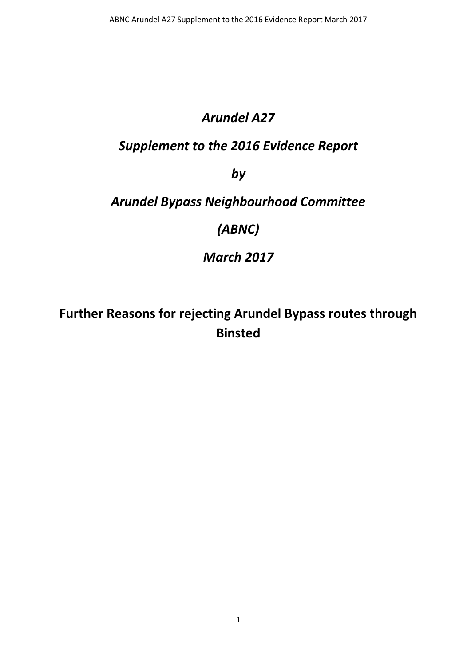### *Arundel A27*

### *Supplement to the 2016 Evidence Report*

*by*

### *Arundel Bypass Neighbourhood Committee*

*(ABNC)*

*March 2017*

**Further Reasons for rejecting Arundel Bypass routes through Binsted**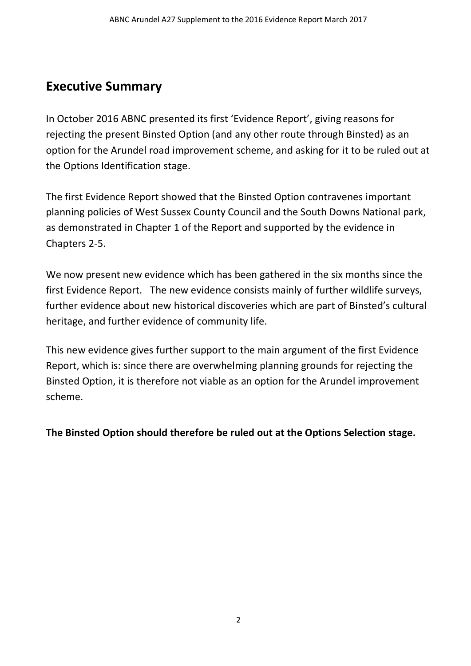### **Executive Summary**

In October 2016 ABNC presented its first 'Evidence Report', giving reasons for rejecting the present Binsted Option (and any other route through Binsted) as an option for the Arundel road improvement scheme, and asking for it to be ruled out at the Options Identification stage.

The first Evidence Report showed that the Binsted Option contravenes important planning policies of West Sussex County Council and the South Downs National park, as demonstrated in Chapter 1 of the Report and supported by the evidence in Chapters 2-5.

We now present new evidence which has been gathered in the six months since the first Evidence Report. The new evidence consists mainly of further wildlife surveys, further evidence about new historical discoveries which are part of Binsted's cultural heritage, and further evidence of community life.

This new evidence gives further support to the main argument of the first Evidence Report, which is: since there are overwhelming planning grounds for rejecting the Binsted Option, it is therefore not viable as an option for the Arundel improvement scheme.

**The Binsted Option should therefore be ruled out at the Options Selection stage.**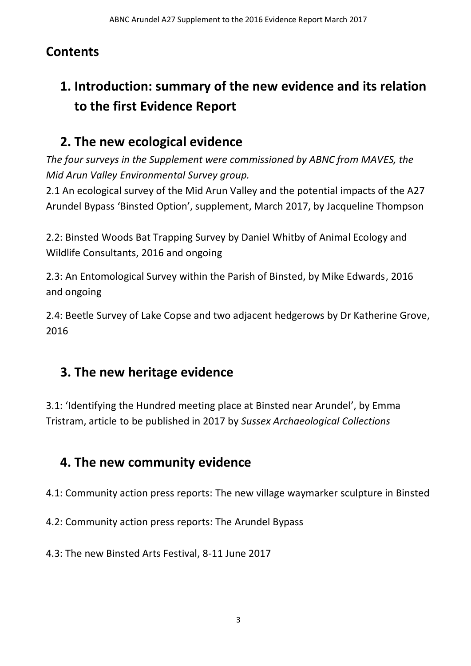### **Contents**

# **1. Introduction: summary of the new evidence and its relation to the first Evidence Report**

## **2. The new ecological evidence**

*The four surveys in the Supplement were commissioned by ABNC from MAVES, the Mid Arun Valley Environmental Survey group.*

2.1 An ecological survey of the Mid Arun Valley and the potential impacts of the A27 Arundel Bypass 'Binsted Option', supplement, March 2017, by Jacqueline Thompson

2.2: Binsted Woods Bat Trapping Survey by Daniel Whitby of Animal Ecology and Wildlife Consultants, 2016 and ongoing

2.3: An Entomological Survey within the Parish of Binsted, by Mike Edwards, 2016 and ongoing

2.4: Beetle Survey of Lake Copse and two adjacent hedgerows by Dr Katherine Grove, 2016

## **3. The new heritage evidence**

3.1: 'Identifying the Hundred meeting place at Binsted near Arundel', by Emma Tristram, article to be published in 2017 by *Sussex Archaeological Collections*

## **4. The new community evidence**

4.1: Community action press reports: The new village waymarker sculpture in Binsted

4.2: Community action press reports: The Arundel Bypass

4.3: The new Binsted Arts Festival, 8-11 June 2017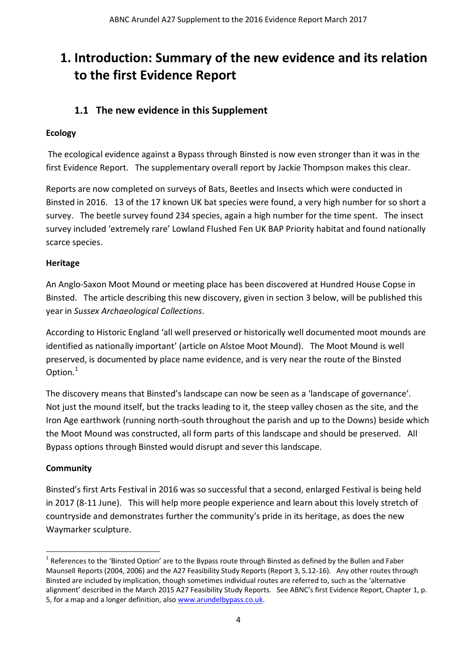### **1. Introduction: Summary of the new evidence and its relation to the first Evidence Report**

### **1.1 The new evidence in this Supplement**

#### **Ecology**

The ecological evidence against a Bypass through Binsted is now even stronger than it was in the first Evidence Report. The supplementary overall report by Jackie Thompson makes this clear.

Reports are now completed on surveys of Bats, Beetles and Insects which were conducted in Binsted in 2016. 13 of the 17 known UK bat species were found, a very high number for so short a survey. The beetle survey found 234 species, again a high number for the time spent. The insect survey included 'extremely rare' Lowland Flushed Fen UK BAP Priority habitat and found nationally scarce species.

#### **Heritage**

An Anglo-Saxon Moot Mound or meeting place has been discovered at Hundred House Copse in Binsted. The article describing this new discovery, given in section 3 below, will be published this year in *Sussex Archaeological Collections*.

According to Historic England 'all well preserved or historically well documented moot mounds are identified as nationally important' (article on Alstoe Moot Mound). The Moot Mound is well preserved, is documented by place name evidence, and is very near the route of the Binsted Option.<sup>1</sup>

The discovery means that Binsted's landscape can now be seen as a 'landscape of governance'. Not just the mound itself, but the tracks leading to it, the steep valley chosen as the site, and the Iron Age earthwork (running north-south throughout the parish and up to the Downs) beside which the Moot Mound was constructed, all form parts of this landscape and should be preserved. All Bypass options through Binsted would disrupt and sever this landscape.

#### **Community**

**.** 

Binsted's first Arts Festival in 2016 was so successful that a second, enlarged Festival is being held in 2017 (8-11 June). This will help more people experience and learn about this lovely stretch of countryside and demonstrates further the community's pride in its heritage, as does the new Waymarker sculpture.

<sup>&</sup>lt;sup>1</sup> References to the 'Binsted Option' are to the Bypass route through Binsted as defined by the Bullen and Faber Maunsell Reports (2004, 2006) and the A27 Feasibility Study Reports (Report 3, 5.12-16). Any other routes through Binsted are included by implication, though sometimes individual routes are referred to, such as the 'alternative alignment' described in the March 2015 A27 Feasibility Study Reports. See ABNC's first Evidence Report, Chapter 1, p. 5, for a map and a longer definition, als[o www.arundelbypass.co.uk.](http://www.arundelbypass.co.uk/)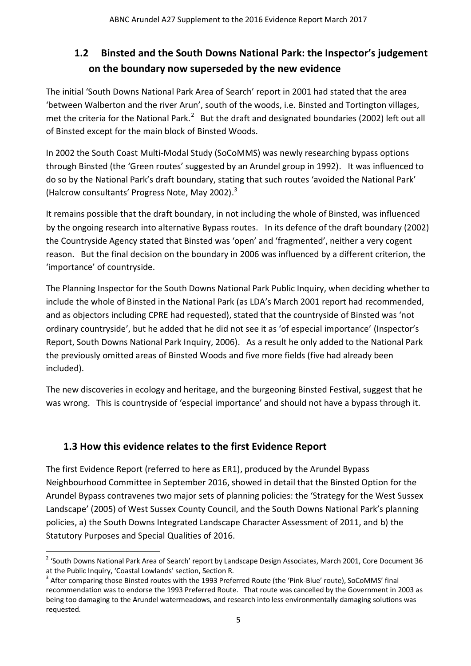### **1.2 Binsted and the South Downs National Park: the Inspector's judgement on the boundary now superseded by the new evidence**

The initial 'South Downs National Park Area of Search' report in 2001 had stated that the area 'between Walberton and the river Arun', south of the woods, i.e. Binsted and Tortington villages, met the criteria for the National Park.<sup>2</sup> But the draft and designated boundaries (2002) left out all of Binsted except for the main block of Binsted Woods.

In 2002 the South Coast Multi-Modal Study (SoCoMMS) was newly researching bypass options through Binsted (the 'Green routes' suggested by an Arundel group in 1992). It was influenced to do so by the National Park's draft boundary, stating that such routes 'avoided the National Park' (Halcrow consultants' Progress Note, May 2002). 3

It remains possible that the draft boundary, in not including the whole of Binsted, was influenced by the ongoing research into alternative Bypass routes. In its defence of the draft boundary (2002) the Countryside Agency stated that Binsted was 'open' and 'fragmented', neither a very cogent reason. But the final decision on the boundary in 2006 was influenced by a different criterion, the 'importance' of countryside.

The Planning Inspector for the South Downs National Park Public Inquiry, when deciding whether to include the whole of Binsted in the National Park (as LDA's March 2001 report had recommended, and as objectors including CPRE had requested), stated that the countryside of Binsted was 'not ordinary countryside', but he added that he did not see it as 'of especial importance' (Inspector's Report, South Downs National Park Inquiry, 2006). As a result he only added to the National Park the previously omitted areas of Binsted Woods and five more fields (five had already been included).

The new discoveries in ecology and heritage, and the burgeoning Binsted Festival, suggest that he was wrong. This is countryside of 'especial importance' and should not have a bypass through it.

### **1.3 How this evidence relates to the first Evidence Report**

The first Evidence Report (referred to here as ER1), produced by the Arundel Bypass Neighbourhood Committee in September 2016, showed in detail that the Binsted Option for the Arundel Bypass contravenes two major sets of planning policies: the 'Strategy for the West Sussex Landscape' (2005) of West Sussex County Council, and the South Downs National Park's planning policies, a) the South Downs Integrated Landscape Character Assessment of 2011, and b) the Statutory Purposes and Special Qualities of 2016.

**<sup>.</sup>** <sup>2</sup> 'South Downs National Park Area of Search' report by Landscape Design Associates, March 2001, Core Document 36 at the Public Inquiry, 'Coastal Lowlands' section, Section R.

<sup>&</sup>lt;sup>3</sup> After comparing those Binsted routes with the 1993 Preferred Route (the 'Pink-Blue' route), SoCoMMS' final recommendation was to endorse the 1993 Preferred Route. That route was cancelled by the Government in 2003 as being too damaging to the Arundel watermeadows, and research into less environmentally damaging solutions was requested.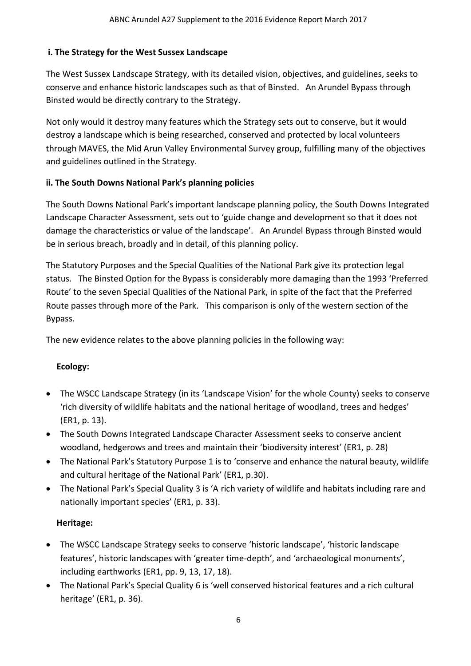#### **i. The Strategy for the West Sussex Landscape**

The West Sussex Landscape Strategy, with its detailed vision, objectives, and guidelines, seeks to conserve and enhance historic landscapes such as that of Binsted. An Arundel Bypass through Binsted would be directly contrary to the Strategy.

Not only would it destroy many features which the Strategy sets out to conserve, but it would destroy a landscape which is being researched, conserved and protected by local volunteers through MAVES, the Mid Arun Valley Environmental Survey group, fulfilling many of the objectives and guidelines outlined in the Strategy.

#### **ii. The South Downs National Park's planning policies**

The South Downs National Park's important landscape planning policy, the South Downs Integrated Landscape Character Assessment, sets out to 'guide change and development so that it does not damage the characteristics or value of the landscape'. An Arundel Bypass through Binsted would be in serious breach, broadly and in detail, of this planning policy.

The Statutory Purposes and the Special Qualities of the National Park give its protection legal status. The Binsted Option for the Bypass is considerably more damaging than the 1993 'Preferred Route' to the seven Special Qualities of the National Park, in spite of the fact that the Preferred Route passes through more of the Park. This comparison is only of the western section of the Bypass.

The new evidence relates to the above planning policies in the following way:

#### **Ecology:**

- The WSCC Landscape Strategy (in its 'Landscape Vision' for the whole County) seeks to conserve 'rich diversity of wildlife habitats and the national heritage of woodland, trees and hedges' (ER1, p. 13).
- The South Downs Integrated Landscape Character Assessment seeks to conserve ancient woodland, hedgerows and trees and maintain their 'biodiversity interest' (ER1, p. 28)
- The National Park's Statutory Purpose 1 is to 'conserve and enhance the natural beauty, wildlife and cultural heritage of the National Park' (ER1, p.30).
- The National Park's Special Quality 3 is 'A rich variety of wildlife and habitats including rare and nationally important species' (ER1, p. 33).

#### **Heritage:**

- The WSCC Landscape Strategy seeks to conserve 'historic landscape', 'historic landscape features', historic landscapes with 'greater time-depth', and 'archaeological monuments', including earthworks (ER1, pp. 9, 13, 17, 18).
- The National Park's Special Quality 6 is 'well conserved historical features and a rich cultural heritage' (ER1, p. 36).